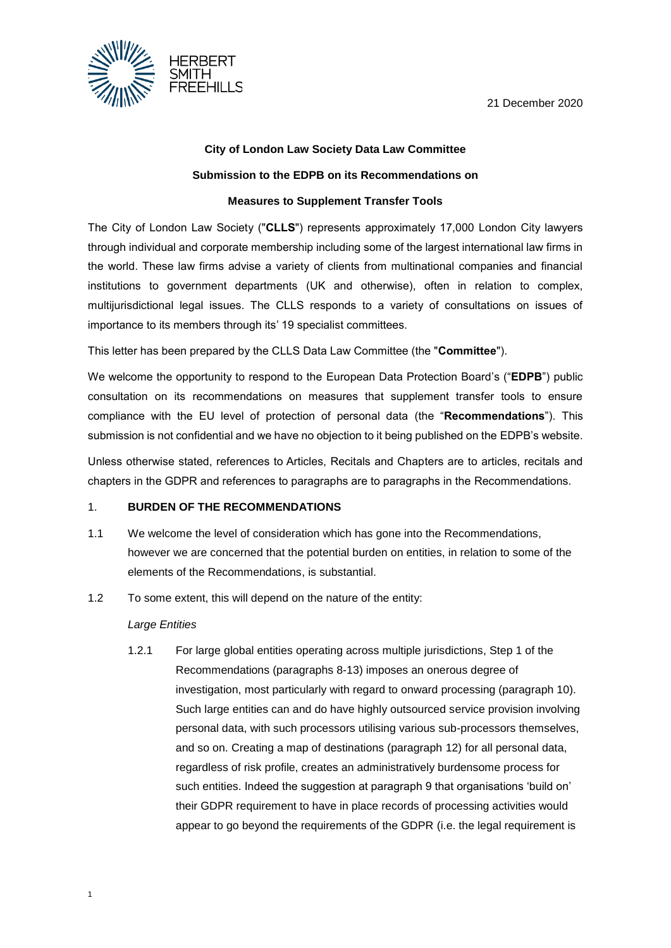

# **City of London Law Society Data Law Committee**

## **Submission to the EDPB on its Recommendations on**

## **Measures to Supplement Transfer Tools**

The City of London Law Society ("**CLLS**") represents approximately 17,000 London City lawyers through individual and corporate membership including some of the largest international law firms in the world. These law firms advise a variety of clients from multinational companies and financial institutions to government departments (UK and otherwise), often in relation to complex, multijurisdictional legal issues. The CLLS responds to a variety of consultations on issues of importance to its members through its' 19 specialist committees.

This letter has been prepared by the CLLS Data Law Committee (the "**Committee**").

We welcome the opportunity to respond to the European Data Protection Board's ("**EDPB**") public consultation on its recommendations on measures that supplement transfer tools to ensure compliance with the EU level of protection of personal data (the "**Recommendations**"). This submission is not confidential and we have no objection to it being published on the EDPB's website.

Unless otherwise stated, references to Articles, Recitals and Chapters are to articles, recitals and chapters in the GDPR and references to paragraphs are to paragraphs in the Recommendations.

#### <span id="page-0-1"></span>1. **BURDEN OF THE RECOMMENDATIONS**

- 1.1 We welcome the level of consideration which has gone into the Recommendations, however we are concerned that the potential burden on entities, in relation to some of the elements of the Recommendations, is substantial.
- 1.2 To some extent, this will depend on the nature of the entity:

#### *Large Entities*

<span id="page-0-0"></span>1.2.1 For large global entities operating across multiple jurisdictions, Step 1 of the Recommendations (paragraphs 8-13) imposes an onerous degree of investigation, most particularly with regard to onward processing (paragraph 10). Such large entities can and do have highly outsourced service provision involving personal data, with such processors utilising various sub-processors themselves, and so on. Creating a map of destinations (paragraph 12) for all personal data, regardless of risk profile, creates an administratively burdensome process for such entities. Indeed the suggestion at paragraph 9 that organisations 'build on' their GDPR requirement to have in place records of processing activities would appear to go beyond the requirements of the GDPR (i.e. the legal requirement is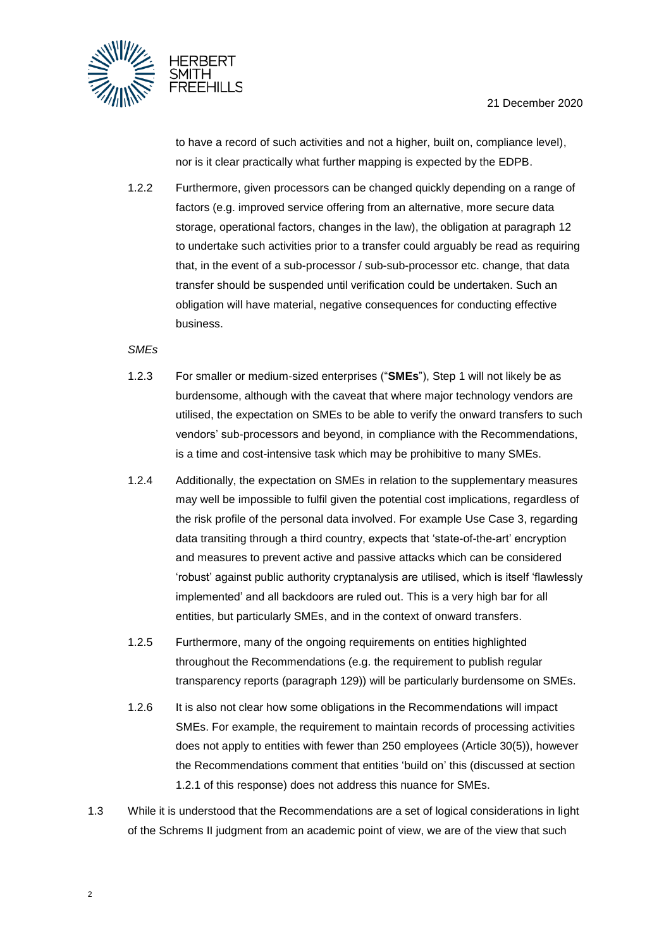



to have a record of such activities and not a higher, built on, compliance level), nor is it clear practically what further mapping is expected by the EDPB.

1.2.2 Furthermore, given processors can be changed quickly depending on a range of factors (e.g. improved service offering from an alternative, more secure data storage, operational factors, changes in the law), the obligation at paragraph 12 to undertake such activities prior to a transfer could arguably be read as requiring that, in the event of a sub-processor / sub-sub-processor etc. change, that data transfer should be suspended until verification could be undertaken. Such an obligation will have material, negative consequences for conducting effective business.

# *SMEs*

- 1.2.3 For smaller or medium-sized enterprises ("**SMEs**"), Step 1 will not likely be as burdensome, although with the caveat that where major technology vendors are utilised, the expectation on SMEs to be able to verify the onward transfers to such vendors' sub-processors and beyond, in compliance with the Recommendations, is a time and cost-intensive task which may be prohibitive to many SMEs.
- 1.2.4 Additionally, the expectation on SMEs in relation to the supplementary measures may well be impossible to fulfil given the potential cost implications, regardless of the risk profile of the personal data involved. For example Use Case 3, regarding data transiting through a third country, expects that 'state-of-the-art' encryption and measures to prevent active and passive attacks which can be considered 'robust' against public authority cryptanalysis are utilised, which is itself 'flawlessly implemented' and all backdoors are ruled out. This is a very high bar for all entities, but particularly SMEs, and in the context of onward transfers.
- 1.2.5 Furthermore, many of the ongoing requirements on entities highlighted throughout the Recommendations (e.g. the requirement to publish regular transparency reports (paragraph 129)) will be particularly burdensome on SMEs.
- 1.2.6 It is also not clear how some obligations in the Recommendations will impact SMEs. For example, the requirement to maintain records of processing activities does not apply to entities with fewer than 250 employees (Article 30(5)), however the Recommendations comment that entities 'build on' this (discussed at section [1.2.1](#page-0-0) of this response) does not address this nuance for SMEs.
- 1.3 While it is understood that the Recommendations are a set of logical considerations in light of the Schrems II judgment from an academic point of view, we are of the view that such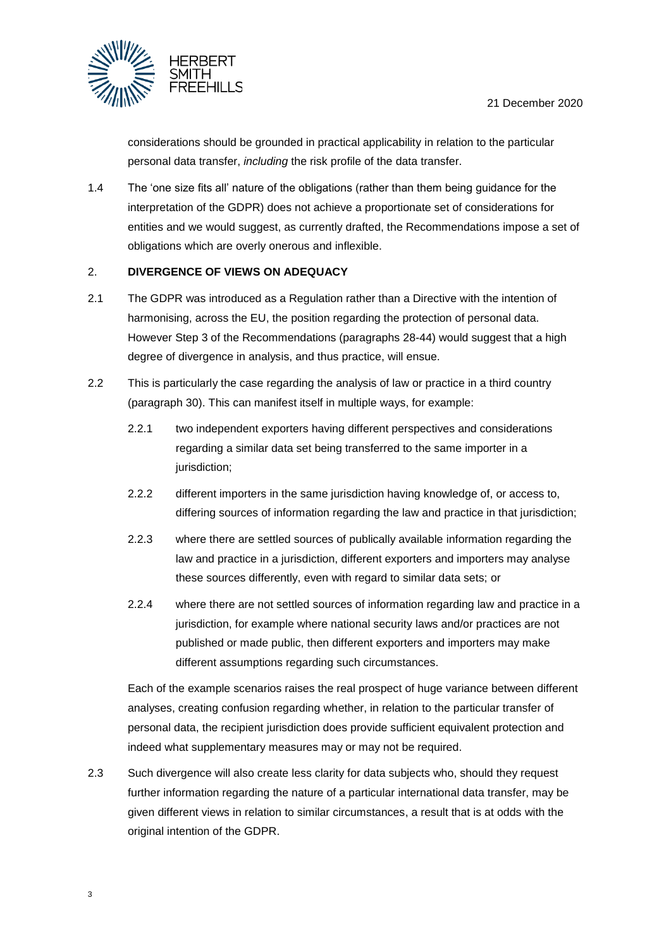

considerations should be grounded in practical applicability in relation to the particular personal data transfer, *including* the risk profile of the data transfer.

1.4 The 'one size fits all' nature of the obligations (rather than them being guidance for the interpretation of the GDPR) does not achieve a proportionate set of considerations for entities and we would suggest, as currently drafted, the Recommendations impose a set of obligations which are overly onerous and inflexible.

# <span id="page-2-0"></span>2. **DIVERGENCE OF VIEWS ON ADEQUACY**

- 2.1 The GDPR was introduced as a Regulation rather than a Directive with the intention of harmonising, across the EU, the position regarding the protection of personal data. However Step 3 of the Recommendations (paragraphs 28-44) would suggest that a high degree of divergence in analysis, and thus practice, will ensue.
- 2.2 This is particularly the case regarding the analysis of law or practice in a third country (paragraph 30). This can manifest itself in multiple ways, for example:
	- 2.2.1 two independent exporters having different perspectives and considerations regarding a similar data set being transferred to the same importer in a jurisdiction;
	- 2.2.2 different importers in the same jurisdiction having knowledge of, or access to, differing sources of information regarding the law and practice in that jurisdiction;
	- 2.2.3 where there are settled sources of publically available information regarding the law and practice in a jurisdiction, different exporters and importers may analyse these sources differently, even with regard to similar data sets; or
	- 2.2.4 where there are not settled sources of information regarding law and practice in a jurisdiction, for example where national security laws and/or practices are not published or made public, then different exporters and importers may make different assumptions regarding such circumstances.

Each of the example scenarios raises the real prospect of huge variance between different analyses, creating confusion regarding whether, in relation to the particular transfer of personal data, the recipient jurisdiction does provide sufficient equivalent protection and indeed what supplementary measures may or may not be required.

2.3 Such divergence will also create less clarity for data subjects who, should they request further information regarding the nature of a particular international data transfer, may be given different views in relation to similar circumstances, a result that is at odds with the original intention of the GDPR.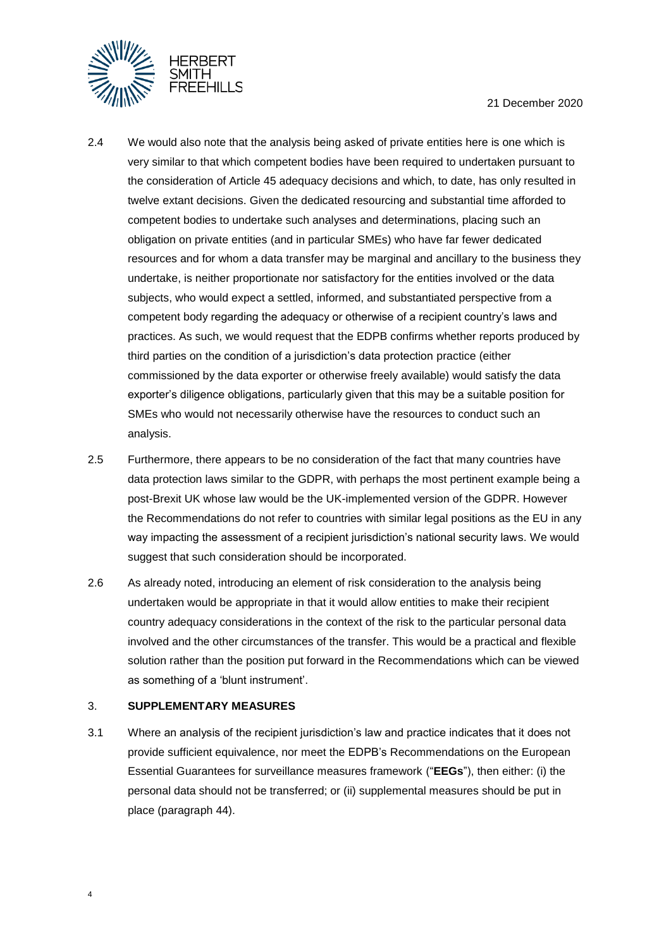

- 2.4 We would also note that the analysis being asked of private entities here is one which is very similar to that which competent bodies have been required to undertaken pursuant to the consideration of Article 45 adequacy decisions and which, to date, has only resulted in twelve extant decisions. Given the dedicated resourcing and substantial time afforded to competent bodies to undertake such analyses and determinations, placing such an obligation on private entities (and in particular SMEs) who have far fewer dedicated resources and for whom a data transfer may be marginal and ancillary to the business they undertake, is neither proportionate nor satisfactory for the entities involved or the data subjects, who would expect a settled, informed, and substantiated perspective from a competent body regarding the adequacy or otherwise of a recipient country's laws and practices. As such, we would request that the EDPB confirms whether reports produced by third parties on the condition of a jurisdiction's data protection practice (either commissioned by the data exporter or otherwise freely available) would satisfy the data exporter's diligence obligations, particularly given that this may be a suitable position for SMEs who would not necessarily otherwise have the resources to conduct such an analysis.
- 2.5 Furthermore, there appears to be no consideration of the fact that many countries have data protection laws similar to the GDPR, with perhaps the most pertinent example being a post-Brexit UK whose law would be the UK-implemented version of the GDPR. However the Recommendations do not refer to countries with similar legal positions as the EU in any way impacting the assessment of a recipient jurisdiction's national security laws. We would suggest that such consideration should be incorporated.
- 2.6 As already noted, introducing an element of risk consideration to the analysis being undertaken would be appropriate in that it would allow entities to make their recipient country adequacy considerations in the context of the risk to the particular personal data involved and the other circumstances of the transfer. This would be a practical and flexible solution rather than the position put forward in the Recommendations which can be viewed as something of a 'blunt instrument'.

# 3. **SUPPLEMENTARY MEASURES**

3.1 Where an analysis of the recipient jurisdiction's law and practice indicates that it does not provide sufficient equivalence, nor meet the EDPB's Recommendations on the European Essential Guarantees for surveillance measures framework ("**EEGs**"), then either: (i) the personal data should not be transferred; or (ii) supplemental measures should be put in place (paragraph 44).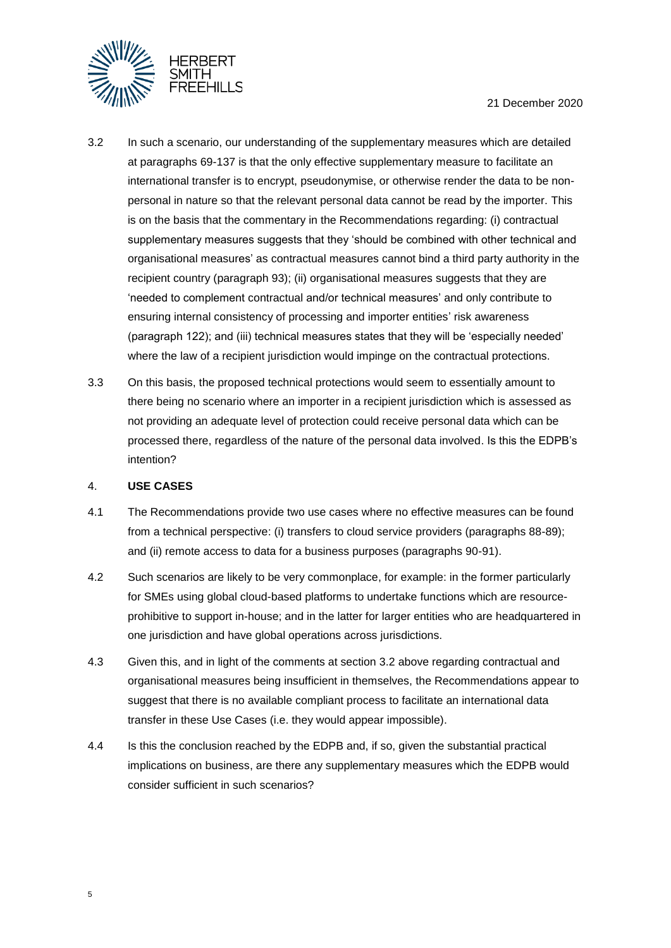

- <span id="page-4-0"></span>3.2 In such a scenario, our understanding of the supplementary measures which are detailed at paragraphs 69-137 is that the only effective supplementary measure to facilitate an international transfer is to encrypt, pseudonymise, or otherwise render the data to be nonpersonal in nature so that the relevant personal data cannot be read by the importer. This is on the basis that the commentary in the Recommendations regarding: (i) contractual supplementary measures suggests that they 'should be combined with other technical and organisational measures' as contractual measures cannot bind a third party authority in the recipient country (paragraph 93); (ii) organisational measures suggests that they are 'needed to complement contractual and/or technical measures' and only contribute to ensuring internal consistency of processing and importer entities' risk awareness (paragraph 122); and (iii) technical measures states that they will be 'especially needed' where the law of a recipient jurisdiction would impinge on the contractual protections.
- 3.3 On this basis, the proposed technical protections would seem to essentially amount to there being no scenario where an importer in a recipient jurisdiction which is assessed as not providing an adequate level of protection could receive personal data which can be processed there, regardless of the nature of the personal data involved. Is this the EDPB's intention?

#### 4. **USE CASES**

- 4.1 The Recommendations provide two use cases where no effective measures can be found from a technical perspective: (i) transfers to cloud service providers (paragraphs 88-89); and (ii) remote access to data for a business purposes (paragraphs 90-91).
- 4.2 Such scenarios are likely to be very commonplace, for example: in the former particularly for SMEs using global cloud-based platforms to undertake functions which are resourceprohibitive to support in-house; and in the latter for larger entities who are headquartered in one jurisdiction and have global operations across jurisdictions.
- 4.3 Given this, and in light of the comments at section [3.2](#page-4-0) above regarding contractual and organisational measures being insufficient in themselves, the Recommendations appear to suggest that there is no available compliant process to facilitate an international data transfer in these Use Cases (i.e. they would appear impossible).
- 4.4 Is this the conclusion reached by the EDPB and, if so, given the substantial practical implications on business, are there any supplementary measures which the EDPB would consider sufficient in such scenarios?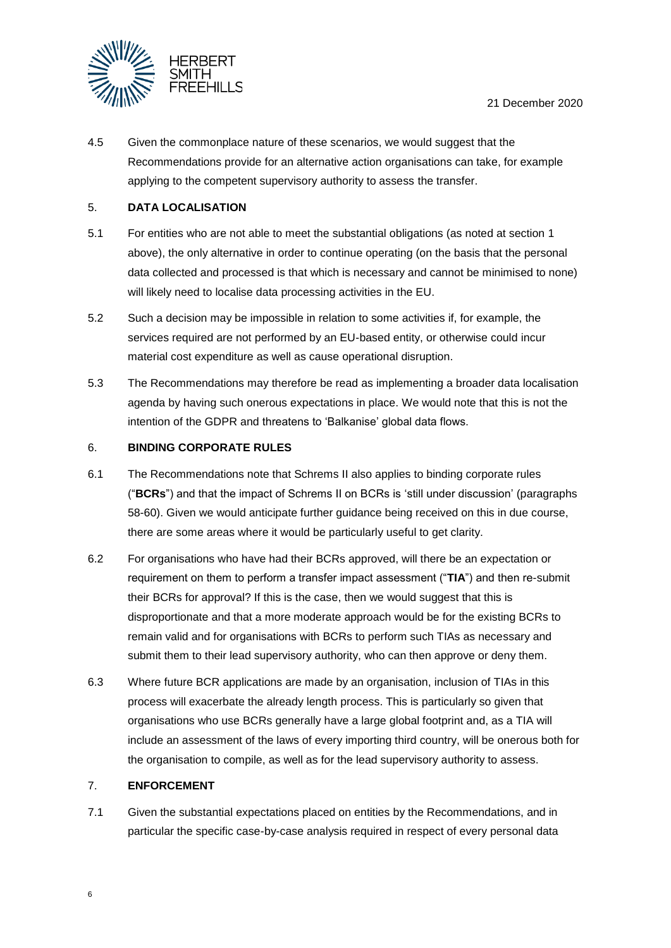

4.5 Given the commonplace nature of these scenarios, we would suggest that the Recommendations provide for an alternative action organisations can take, for example applying to the competent supervisory authority to assess the transfer.

## 5. **DATA LOCALISATION**

- 5.1 For entities who are not able to meet the substantial obligations (as noted at section [1](#page-0-1) above), the only alternative in order to continue operating (on the basis that the personal data collected and processed is that which is necessary and cannot be minimised to none) will likely need to localise data processing activities in the EU.
- 5.2 Such a decision may be impossible in relation to some activities if, for example, the services required are not performed by an EU-based entity, or otherwise could incur material cost expenditure as well as cause operational disruption.
- 5.3 The Recommendations may therefore be read as implementing a broader data localisation agenda by having such onerous expectations in place. We would note that this is not the intention of the GDPR and threatens to 'Balkanise' global data flows.

#### 6. **BINDING CORPORATE RULES**

- 6.1 The Recommendations note that Schrems II also applies to binding corporate rules ("**BCRs**") and that the impact of Schrems II on BCRs is 'still under discussion' (paragraphs 58-60). Given we would anticipate further guidance being received on this in due course, there are some areas where it would be particularly useful to get clarity.
- 6.2 For organisations who have had their BCRs approved, will there be an expectation or requirement on them to perform a transfer impact assessment ("**TIA**") and then re-submit their BCRs for approval? If this is the case, then we would suggest that this is disproportionate and that a more moderate approach would be for the existing BCRs to remain valid and for organisations with BCRs to perform such TIAs as necessary and submit them to their lead supervisory authority, who can then approve or deny them.
- 6.3 Where future BCR applications are made by an organisation, inclusion of TIAs in this process will exacerbate the already length process. This is particularly so given that organisations who use BCRs generally have a large global footprint and, as a TIA will include an assessment of the laws of every importing third country, will be onerous both for the organisation to compile, as well as for the lead supervisory authority to assess.

#### 7. **ENFORCEMENT**

7.1 Given the substantial expectations placed on entities by the Recommendations, and in particular the specific case-by-case analysis required in respect of every personal data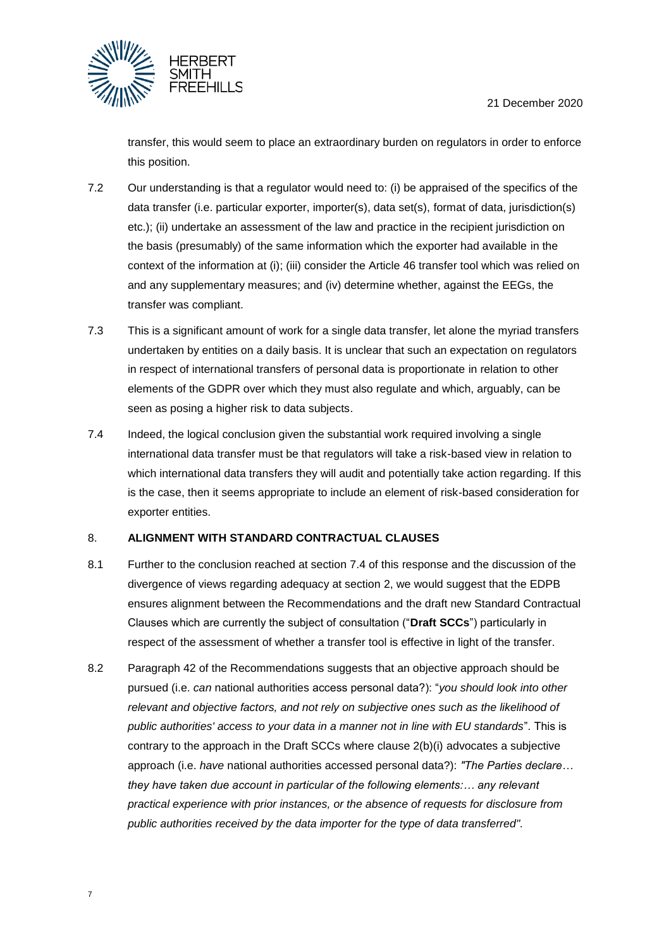



transfer, this would seem to place an extraordinary burden on regulators in order to enforce this position.

- 7.2 Our understanding is that a regulator would need to: (i) be appraised of the specifics of the data transfer (i.e. particular exporter, importer(s), data set(s), format of data, jurisdiction(s) etc.); (ii) undertake an assessment of the law and practice in the recipient jurisdiction on the basis (presumably) of the same information which the exporter had available in the context of the information at (i); (iii) consider the Article 46 transfer tool which was relied on and any supplementary measures; and (iv) determine whether, against the EEGs, the transfer was compliant.
- 7.3 This is a significant amount of work for a single data transfer, let alone the myriad transfers undertaken by entities on a daily basis. It is unclear that such an expectation on regulators in respect of international transfers of personal data is proportionate in relation to other elements of the GDPR over which they must also regulate and which, arguably, can be seen as posing a higher risk to data subjects.
- <span id="page-6-0"></span>7.4 Indeed, the logical conclusion given the substantial work required involving a single international data transfer must be that regulators will take a risk-based view in relation to which international data transfers they will audit and potentially take action regarding. If this is the case, then it seems appropriate to include an element of risk-based consideration for exporter entities.

# <span id="page-6-1"></span>8. **ALIGNMENT WITH STANDARD CONTRACTUAL CLAUSES**

- 8.1 Further to the conclusion reached at section [7.4](#page-6-0) of this response and the discussion of the divergence of views regarding adequacy at section [2,](#page-2-0) we would suggest that the EDPB ensures alignment between the Recommendations and the draft new Standard Contractual Clauses which are currently the subject of consultation ("**Draft SCCs**") particularly in respect of the assessment of whether a transfer tool is effective in light of the transfer.
- 8.2 Paragraph 42 of the Recommendations suggests that an objective approach should be pursued (i.e. *can* national authorities access personal data?): "*you should look into other relevant and objective factors, and not rely on subjective ones such as the likelihood of public authorities' access to your data in a manner not in line with EU standards*". This is contrary to the approach in the Draft SCCs where clause 2(b)(i) advocates a subjective approach (i.e. *have* national authorities accessed personal data?): *"The Parties declare… they have taken due account in particular of the following elements:… any relevant practical experience with prior instances, or the absence of requests for disclosure from public authorities received by the data importer for the type of data transferred".*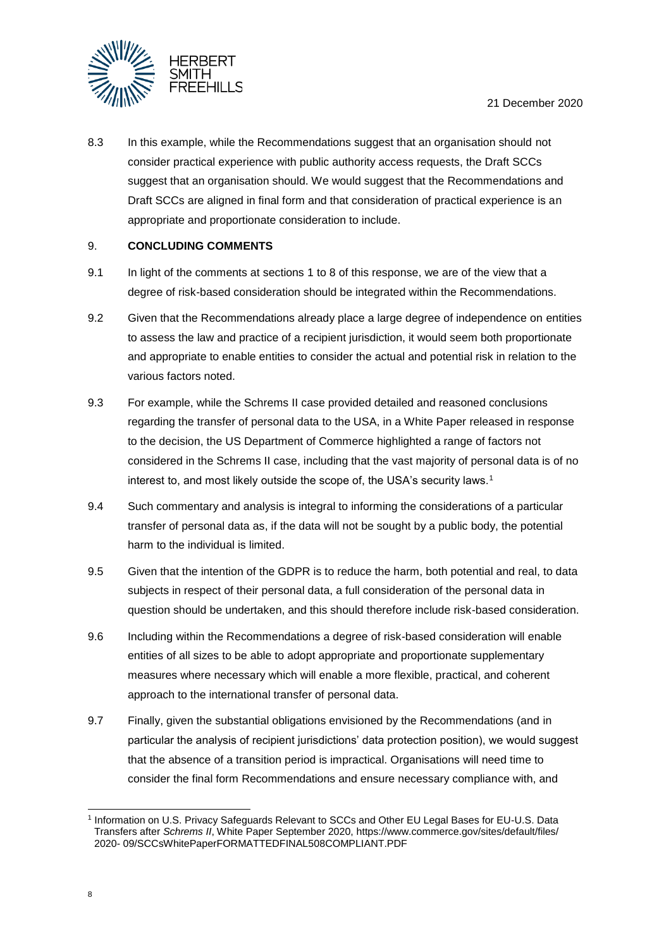

8.3 In this example, while the Recommendations suggest that an organisation should not consider practical experience with public authority access requests, the Draft SCCs suggest that an organisation should. We would suggest that the Recommendations and Draft SCCs are aligned in final form and that consideration of practical experience is an appropriate and proportionate consideration to include.

# 9. **CONCLUDING COMMENTS**

- 9.1 In light of the comments at sections [1](#page-0-1) to [8](#page-6-1) of this response, we are of the view that a degree of risk-based consideration should be integrated within the Recommendations.
- 9.2 Given that the Recommendations already place a large degree of independence on entities to assess the law and practice of a recipient jurisdiction, it would seem both proportionate and appropriate to enable entities to consider the actual and potential risk in relation to the various factors noted.
- 9.3 For example, while the Schrems II case provided detailed and reasoned conclusions regarding the transfer of personal data to the USA, in a White Paper released in response to the decision, the US Department of Commerce highlighted a range of factors not considered in the Schrems II case, including that the vast majority of personal data is of no interest to, and most likely outside the scope of, the USA's security laws.<sup>1</sup>
- 9.4 Such commentary and analysis is integral to informing the considerations of a particular transfer of personal data as, if the data will not be sought by a public body, the potential harm to the individual is limited.
- 9.5 Given that the intention of the GDPR is to reduce the harm, both potential and real, to data subjects in respect of their personal data, a full consideration of the personal data in question should be undertaken, and this should therefore include risk-based consideration.
- 9.6 Including within the Recommendations a degree of risk-based consideration will enable entities of all sizes to be able to adopt appropriate and proportionate supplementary measures where necessary which will enable a more flexible, practical, and coherent approach to the international transfer of personal data.
- 9.7 Finally, given the substantial obligations envisioned by the Recommendations (and in particular the analysis of recipient jurisdictions' data protection position), we would suggest that the absence of a transition period is impractical. Organisations will need time to consider the final form Recommendations and ensure necessary compliance with, and

<sup>1</sup> 1 Information on U.S. Privacy Safeguards Relevant to SCCs and Other EU Legal Bases for EU-U.S. Data Transfers after *Schrems II*, White Paper September 2020, https://www.commerce.gov/sites/default/files/ 2020- 09/SCCsWhitePaperFORMATTEDFINAL508COMPLIANT.PDF